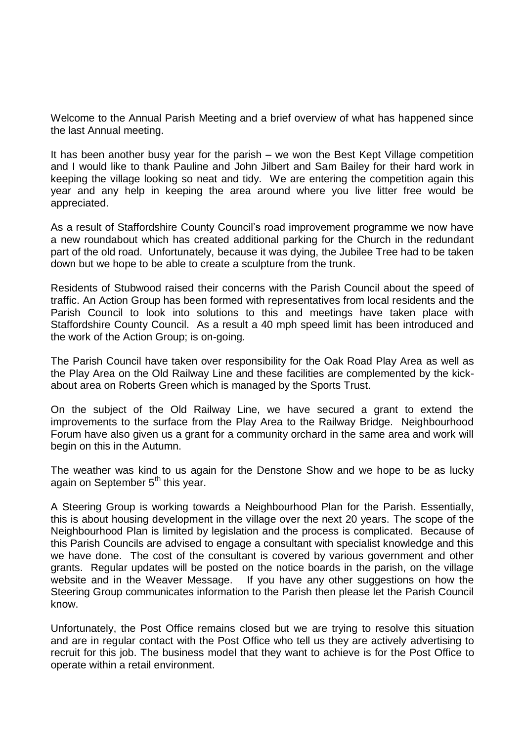Welcome to the Annual Parish Meeting and a brief overview of what has happened since the last Annual meeting.

It has been another busy year for the parish – we won the Best Kept Village competition and I would like to thank Pauline and John Jilbert and Sam Bailey for their hard work in keeping the village looking so neat and tidy. We are entering the competition again this year and any help in keeping the area around where you live litter free would be appreciated.

As a result of Staffordshire County Council's road improvement programme we now have a new roundabout which has created additional parking for the Church in the redundant part of the old road. Unfortunately, because it was dying, the Jubilee Tree had to be taken down but we hope to be able to create a sculpture from the trunk.

Residents of Stubwood raised their concerns with the Parish Council about the speed of traffic. An Action Group has been formed with representatives from local residents and the Parish Council to look into solutions to this and meetings have taken place with Staffordshire County Council. As a result a 40 mph speed limit has been introduced and the work of the Action Group; is on-going.

The Parish Council have taken over responsibility for the Oak Road Play Area as well as the Play Area on the Old Railway Line and these facilities are complemented by the kickabout area on Roberts Green which is managed by the Sports Trust.

On the subject of the Old Railway Line, we have secured a grant to extend the improvements to the surface from the Play Area to the Railway Bridge. Neighbourhood Forum have also given us a grant for a community orchard in the same area and work will begin on this in the Autumn.

The weather was kind to us again for the Denstone Show and we hope to be as lucky again on September  $5<sup>th</sup>$  this year.

A Steering Group is working towards a Neighbourhood Plan for the Parish. Essentially, this is about housing development in the village over the next 20 years. The scope of the Neighbourhood Plan is limited by legislation and the process is complicated. Because of this Parish Councils are advised to engage a consultant with specialist knowledge and this we have done. The cost of the consultant is covered by various government and other grants. Regular updates will be posted on the notice boards in the parish, on the village website and in the Weaver Message. If you have any other suggestions on how the Steering Group communicates information to the Parish then please let the Parish Council know.

Unfortunately, the Post Office remains closed but we are trying to resolve this situation and are in regular contact with the Post Office who tell us they are actively advertising to recruit for this job. The business model that they want to achieve is for the Post Office to operate within a retail environment.